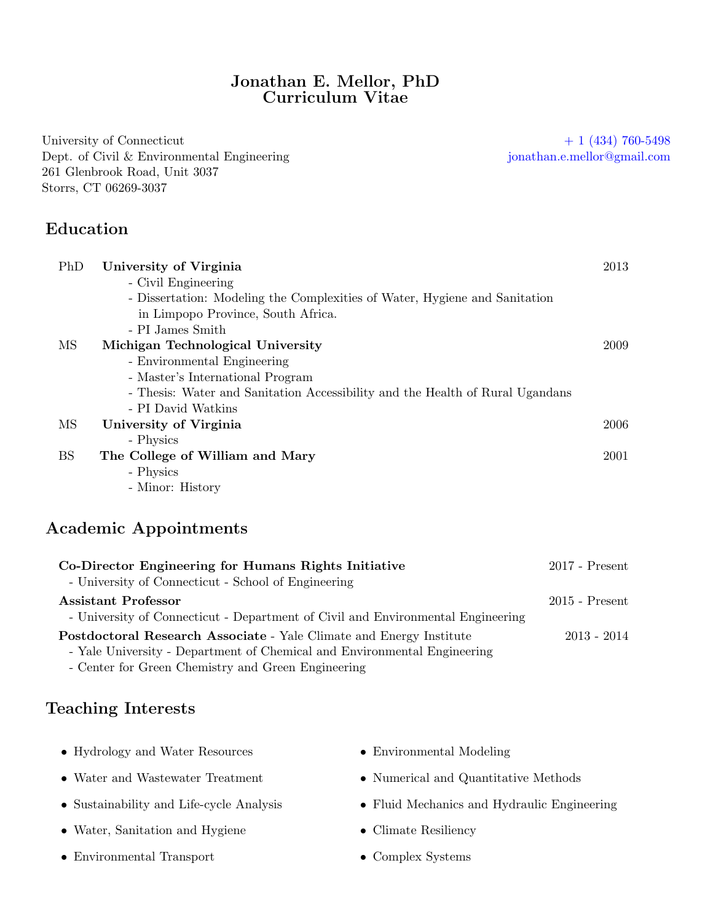#### Jonathan E. Mellor, PhD Curriculum Vitae

University of Connecticut  $+ 1 (434) 760-5498$ Dept. of Civil & Environmental Engineering [jonathan.e.mellor@gmail.com](mailto:jonathan.e.mellor@gmail.com) 261 Glenbrook Road, Unit 3037 Storrs, CT 06269-3037

# Education

| PhD       | University of Virginia                                                        | 2013 |
|-----------|-------------------------------------------------------------------------------|------|
|           | - Civil Engineering                                                           |      |
|           | - Dissertation: Modeling the Complexities of Water, Hygiene and Sanitation    |      |
|           | in Limpopo Province, South Africa.                                            |      |
|           | - PI James Smith                                                              |      |
| MS        | Michigan Technological University                                             | 2009 |
|           | - Environmental Engineering                                                   |      |
|           | - Master's International Program                                              |      |
|           | - Thesis: Water and Sanitation Accessibility and the Health of Rural Ugandans |      |
|           | - PI David Watkins                                                            |      |
| MS        | University of Virginia                                                        | 2006 |
|           | - Physics                                                                     |      |
| <b>BS</b> | The College of William and Mary                                               | 2001 |
|           | - Physics                                                                     |      |
|           | - Minor: History                                                              |      |

## Academic Appointments

| Co-Director Engineering for Humans Rights Initiative                            | $2017$ - Present |
|---------------------------------------------------------------------------------|------------------|
| - University of Connecticut - School of Engineering                             |                  |
| <b>Assistant Professor</b>                                                      | $2015$ - Present |
| - University of Connecticut - Department of Civil and Environmental Engineering |                  |
| <b>Postdoctoral Research Associate</b> - Yale Climate and Energy Institute      | $2013 - 2014$    |
| - Yale University - Department of Chemical and Environmental Engineering        |                  |

- Center for Green Chemistry and Green Engineering

# Teaching Interests

| • Hydrology and Water Resources          | • Environmental Modeling                    |
|------------------------------------------|---------------------------------------------|
| • Water and Wastewater Treatment         | • Numerical and Quantitative Methods        |
| • Sustainability and Life-cycle Analysis | • Fluid Mechanics and Hydraulic Engineering |

- Water, Sanitation and Hygiene
- Environmental Transport
- Climate Resiliency
- Complex Systems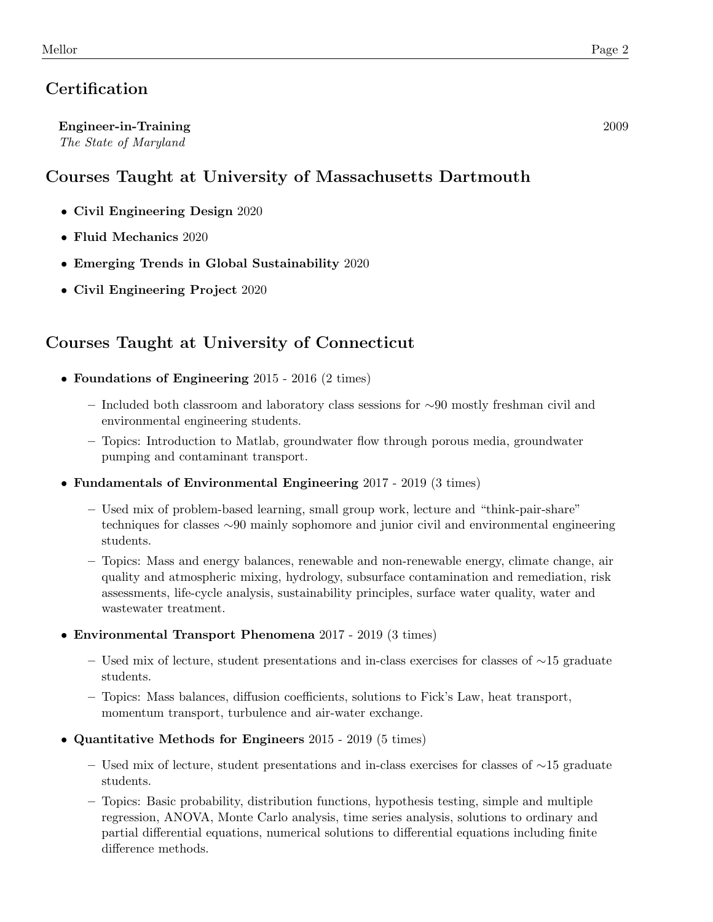# **Certification**

Engineer-in-Training 2009 The State of Maryland

# Courses Taught at University of Massachusetts Dartmouth

- Civil Engineering Design 2020
- Fluid Mechanics 2020
- Emerging Trends in Global Sustainability 2020
- Civil Engineering Project 2020

# Courses Taught at University of Connecticut

- Foundations of Engineering 2015 2016 (2 times)
	- Included both classroom and laboratory class sessions for ∼90 mostly freshman civil and environmental engineering students.
	- Topics: Introduction to Matlab, groundwater flow through porous media, groundwater pumping and contaminant transport.
- Fundamentals of Environmental Engineering 2017 2019 (3 times)
	- Used mix of problem-based learning, small group work, lecture and "think-pair-share" techniques for classes ∼90 mainly sophomore and junior civil and environmental engineering students.
	- Topics: Mass and energy balances, renewable and non-renewable energy, climate change, air quality and atmospheric mixing, hydrology, subsurface contamination and remediation, risk assessments, life-cycle analysis, sustainability principles, surface water quality, water and wastewater treatment.
- Environmental Transport Phenomena 2017 2019 (3 times)
	- Used mix of lecture, student presentations and in-class exercises for classes of ∼15 graduate students.
	- Topics: Mass balances, diffusion coefficients, solutions to Fick's Law, heat transport, momentum transport, turbulence and air-water exchange.
- Quantitative Methods for Engineers 2015 2019 (5 times)
	- Used mix of lecture, student presentations and in-class exercises for classes of ∼15 graduate students.
	- Topics: Basic probability, distribution functions, hypothesis testing, simple and multiple regression, ANOVA, Monte Carlo analysis, time series analysis, solutions to ordinary and partial differential equations, numerical solutions to differential equations including finite difference methods.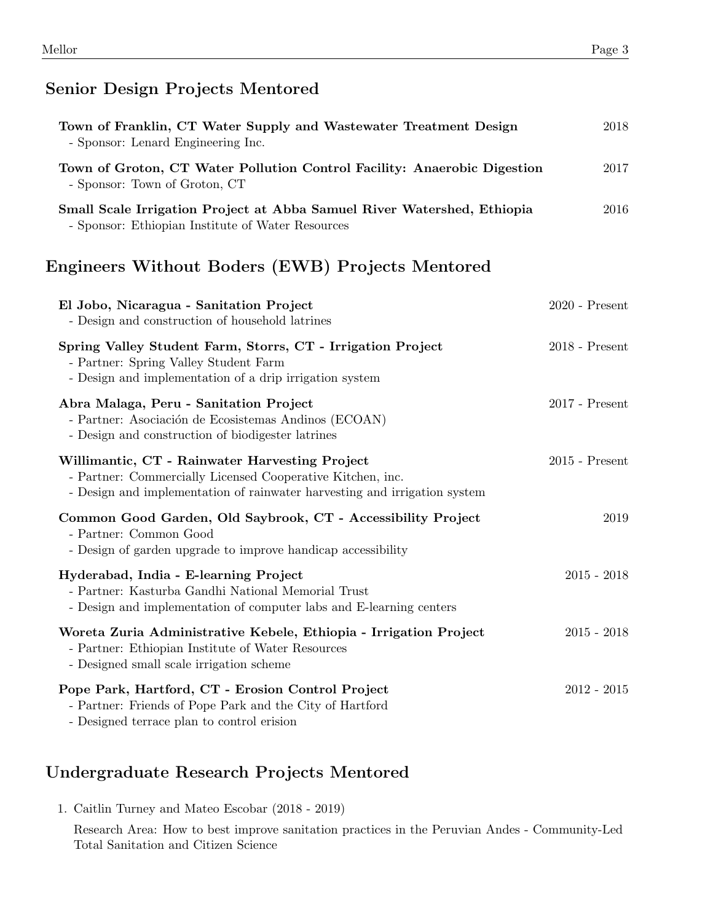## Senior Design Projects Mentored

| Town of Franklin, CT Water Supply and Wastewater Treatment Design<br>- Sponsor: Lenard Engineering Inc.                      | 2018 |
|------------------------------------------------------------------------------------------------------------------------------|------|
| Town of Groton, CT Water Pollution Control Facility: Anaerobic Digestion<br>- Sponsor: Town of Groton, CT                    | 2017 |
| Small Scale Irrigation Project at Abba Samuel River Watershed, Ethiopia<br>- Sponsor: Ethiopian Institute of Water Resources | 2016 |

# Engineers Without Boders (EWB) Projects Mentored

| El Jobo, Nicaragua - Sanitation Project<br>- Design and construction of household latrines                                                                                                | $2020$ - Present |
|-------------------------------------------------------------------------------------------------------------------------------------------------------------------------------------------|------------------|
| Spring Valley Student Farm, Storrs, CT - Irrigation Project<br>- Partner: Spring Valley Student Farm<br>- Design and implementation of a drip irrigation system                           | $2018$ - Present |
| Abra Malaga, Peru - Sanitation Project<br>- Partner: Asociación de Ecosistemas Andinos (ECOAN)<br>- Design and construction of biodigester latrines                                       | $2017$ - Present |
| Willimantic, CT - Rainwater Harvesting Project<br>- Partner: Commercially Licensed Cooperative Kitchen, inc.<br>- Design and implementation of rainwater harvesting and irrigation system | $2015$ - Present |
| Common Good Garden, Old Saybrook, CT - Accessibility Project<br>- Partner: Common Good<br>- Design of garden upgrade to improve handicap accessibility                                    | 2019             |
| Hyderabad, India - E-learning Project<br>- Partner: Kasturba Gandhi National Memorial Trust<br>- Design and implementation of computer labs and E-learning centers                        | $2015 - 2018$    |
| Woreta Zuria Administrative Kebele, Ethiopia - Irrigation Project<br>- Partner: Ethiopian Institute of Water Resources<br>- Designed small scale irrigation scheme                        | $2015 - 2018$    |
| Pope Park, Hartford, CT - Erosion Control Project<br>- Partner: Friends of Pope Park and the City of Hartford<br>- Designed terrace plan to control erision                               | $2012 - 2015$    |

# Undergraduate Research Projects Mentored

1. Caitlin Turney and Mateo Escobar (2018 - 2019)

Research Area: How to best improve sanitation practices in the Peruvian Andes - Community-Led Total Sanitation and Citizen Science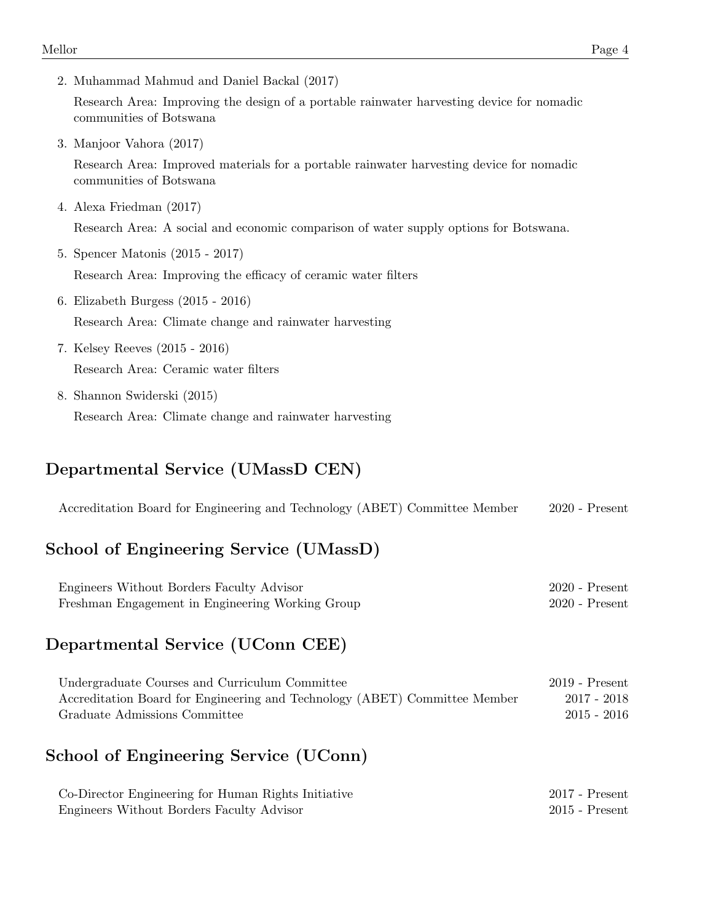2. Muhammad Mahmud and Daniel Backal (2017)

Research Area: Improving the design of a portable rainwater harvesting device for nomadic communities of Botswana

3. Manjoor Vahora (2017)

Research Area: Improved materials for a portable rainwater harvesting device for nomadic communities of Botswana

4. Alexa Friedman (2017)

Research Area: A social and economic comparison of water supply options for Botswana.

5. Spencer Matonis (2015 - 2017)

Research Area: Improving the efficacy of ceramic water filters

- 6. Elizabeth Burgess (2015 2016) Research Area: Climate change and rainwater harvesting
- 7. Kelsey Reeves (2015 2016) Research Area: Ceramic water filters
- 8. Shannon Swiderski (2015) Research Area: Climate change and rainwater harvesting

# Departmental Service (UMassD CEN)

Accreditation Board for Engineering and Technology (ABET) Committee Member 2020 - Present

## School of Engineering Service (UMassD)

| Engineers Without Borders Faculty Advisor        | $2020$ - Present |
|--------------------------------------------------|------------------|
| Freshman Engagement in Engineering Working Group | $2020$ - Present |

#### Departmental Service (UConn CEE)

| Undergraduate Courses and Curriculum Committee                             | $2019$ - Present |
|----------------------------------------------------------------------------|------------------|
| Accreditation Board for Engineering and Technology (ABET) Committee Member | 2017 - 2018      |
| Graduate Admissions Committee                                              | $2015 - 2016$    |

## School of Engineering Service (UConn)

| Co-Director Engineering for Human Rights Initiative | $2017$ - Present |
|-----------------------------------------------------|------------------|
| Engineers Without Borders Faculty Advisor           | $2015$ - Present |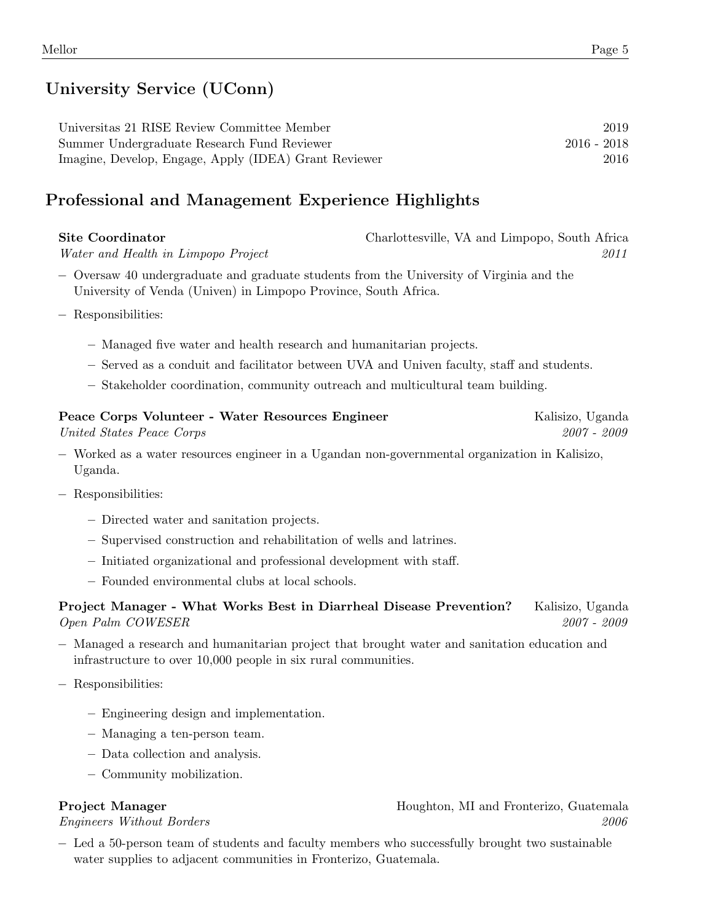# University Service (UConn)

| Universitis 21 RISE Review Committee Member           | 2019          |
|-------------------------------------------------------|---------------|
| Summer Undergraduate Research Fund Reviewer           | $2016 - 2018$ |
| Imagine, Develop, Engage, Apply (IDEA) Grant Reviewer | 2016          |

# Professional and Management Experience Highlights

| Site Coordinator                    | Charlottesville, VA and Limpopo, South Africa |
|-------------------------------------|-----------------------------------------------|
| Water and Health in Limpopo Project | 2011                                          |

- − Oversaw 40 undergraduate and graduate students from the University of Virginia and the University of Venda (Univen) in Limpopo Province, South Africa.
- − Responsibilities:
	- Managed five water and health research and humanitarian projects.
	- Served as a conduit and facilitator between UVA and Univen faculty, staff and students.
	- Stakeholder coordination, community outreach and multicultural team building.

#### Peace Corps Volunteer - Water Resources Engineer Manuscus Engineer Kalisizo, Uganda United States Peace Corps 2007 - 2009

− Worked as a water resources engineer in a Ugandan non-governmental organization in Kalisizo, Uganda.

- − Responsibilities:
	- Directed water and sanitation projects.
	- Supervised construction and rehabilitation of wells and latrines.
	- Initiated organizational and professional development with staff.
	- Founded environmental clubs at local schools.

#### Project Manager - What Works Best in Diarrheal Disease Prevention? Kalisizo, Uganda Open Palm COWESER 2007 - 2009

- − Managed a research and humanitarian project that brought water and sanitation education and infrastructure to over 10,000 people in six rural communities.
- − Responsibilities:
	- Engineering design and implementation.
	- Managing a ten-person team.
	- Data collection and analysis.
	- Community mobilization.

Project Manager Houghton, MI and Fronterizo, Guatemala Engineers Without Borders 2006

− Led a 50-person team of students and faculty members who successfully brought two sustainable water supplies to adjacent communities in Fronterizo, Guatemala.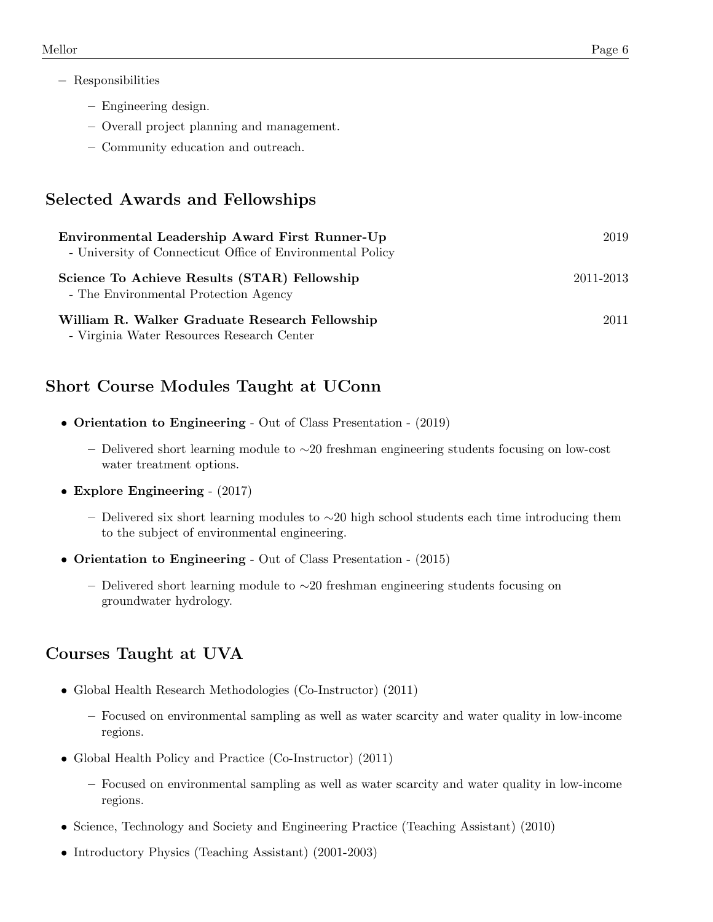- − Responsibilities
	- Engineering design.
	- Overall project planning and management.
	- Community education and outreach.

# Selected Awards and Fellowships

| Environmental Leadership Award First Runner-Up<br>- University of Connecticut Office of Environmental Policy | 2019      |
|--------------------------------------------------------------------------------------------------------------|-----------|
| Science To Achieve Results (STAR) Fellowship<br>- The Environmental Protection Agency                        | 2011-2013 |
| William R. Walker Graduate Research Fellowship<br>- Virginia Water Resources Research Center                 | 2011      |

## Short Course Modules Taught at UConn

- Orientation to Engineering Out of Class Presentation (2019)
	- Delivered short learning module to ∼20 freshman engineering students focusing on low-cost water treatment options.
- Explore Engineering  $(2017)$ 
	- Delivered six short learning modules to  $\sim$ 20 high school students each time introducing them to the subject of environmental engineering.
- Orientation to Engineering Out of Class Presentation (2015)
	- Delivered short learning module to ∼20 freshman engineering students focusing on groundwater hydrology.

## Courses Taught at UVA

- Global Health Research Methodologies (Co-Instructor) (2011)
	- Focused on environmental sampling as well as water scarcity and water quality in low-income regions.
- Global Health Policy and Practice (Co-Instructor) (2011)
	- Focused on environmental sampling as well as water scarcity and water quality in low-income regions.
- Science, Technology and Society and Engineering Practice (Teaching Assistant) (2010)
- Introductory Physics (Teaching Assistant) (2001-2003)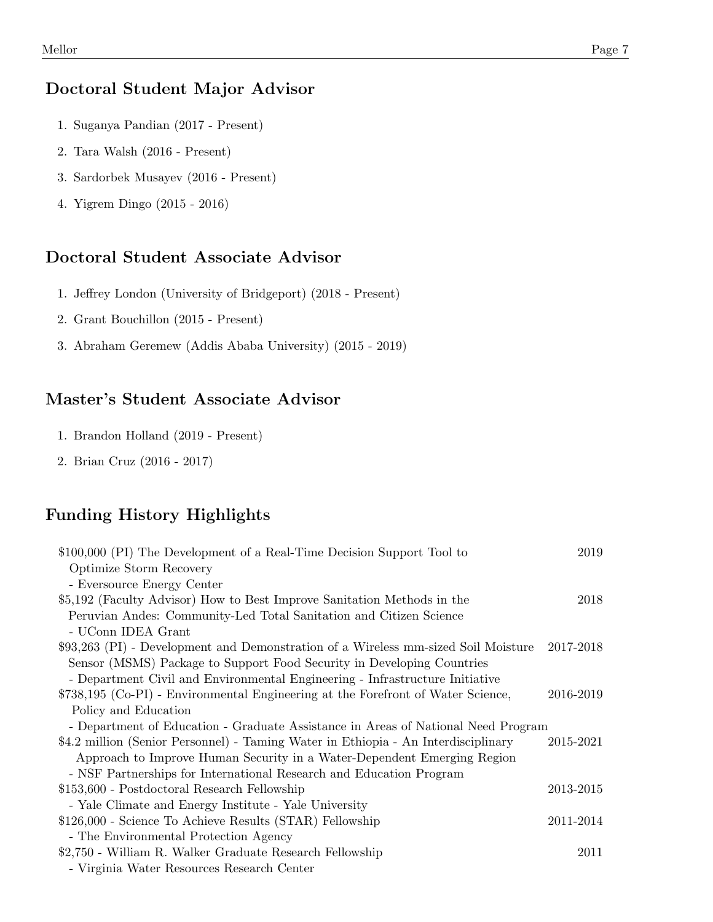#### Doctoral Student Major Advisor

- 1. Suganya Pandian (2017 Present)
- 2. Tara Walsh (2016 Present)
- 3. Sardorbek Musayev (2016 Present)
- 4. Yigrem Dingo (2015 2016)

#### Doctoral Student Associate Advisor

- 1. Jeffrey London (University of Bridgeport) (2018 Present)
- 2. Grant Bouchillon (2015 Present)
- 3. Abraham Geremew (Addis Ababa University) (2015 2019)

## Master's Student Associate Advisor

- 1. Brandon Holland (2019 Present)
- 2. Brian Cruz (2016 2017)

#### Funding History Highlights

| \$100,000 (PI) The Development of a Real-Time Decision Support Tool to             | 2019      |
|------------------------------------------------------------------------------------|-----------|
| Optimize Storm Recovery                                                            |           |
| - Eversource Energy Center                                                         |           |
| \$5,192 (Faculty Advisor) How to Best Improve Sanitation Methods in the            | 2018      |
| Peruvian Andes: Community-Led Total Sanitation and Citizen Science                 |           |
| - UConn IDEA Grant                                                                 |           |
| \$93,263 (PI) - Development and Demonstration of a Wireless mm-sized Soil Moisture | 2017-2018 |
| Sensor (MSMS) Package to Support Food Security in Developing Countries             |           |
| - Department Civil and Environmental Engineering - Infrastructure Initiative       |           |
| \$738,195 (Co-PI) - Environmental Engineering at the Forefront of Water Science,   | 2016-2019 |
| Policy and Education                                                               |           |
| - Department of Education - Graduate Assistance in Areas of National Need Program  |           |
| \$4.2 million (Senior Personnel) - Taming Water in Ethiopia - An Interdisciplinary | 2015-2021 |
| Approach to Improve Human Security in a Water-Dependent Emerging Region            |           |
| - NSF Partnerships for International Research and Education Program                |           |
| \$153,600 - Postdoctoral Research Fellowship                                       | 2013-2015 |
| - Yale Climate and Energy Institute - Yale University                              |           |
| \$126,000 - Science To Achieve Results (STAR) Fellowship                           | 2011-2014 |
| - The Environmental Protection Agency                                              |           |
| \$2,750 - William R. Walker Graduate Research Fellowship                           | 2011      |
| - Virginia Water Resources Research Center                                         |           |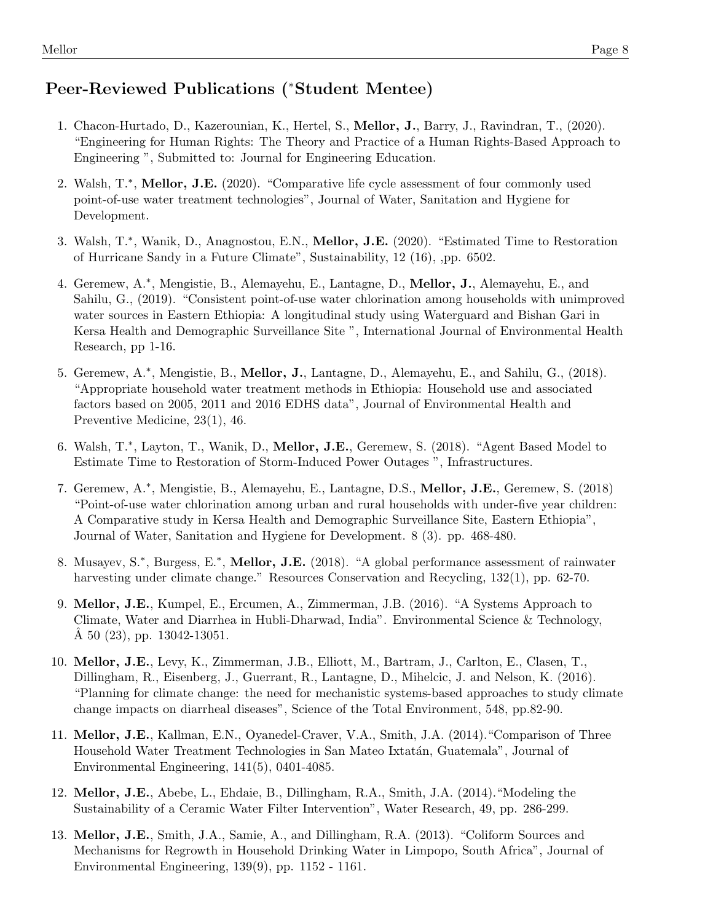# Peer-Reviewed Publications (<sup>∗</sup>Student Mentee)

- 1. Chacon-Hurtado, D., Kazerounian, K., Hertel, S., Mellor, J., Barry, J., Ravindran, T., (2020). "Engineering for Human Rights: The Theory and Practice of a Human Rights-Based Approach to Engineering ", Submitted to: Journal for Engineering Education.
- 2. Walsh, T.<sup>\*</sup>, Mellor, J.E. (2020). "Comparative life cycle assessment of four commonly used point-of-use water treatment technologies", Journal of Water, Sanitation and Hygiene for Development.
- 3. Walsh, T.\*, Wanik, D., Anagnostou, E.N., Mellor, J.E. (2020). "Estimated Time to Restoration of Hurricane Sandy in a Future Climate", Sustainability, 12 (16), ,pp. 6502.
- 4. Geremew, A.<sup>\*</sup>, Mengistie, B., Alemayehu, E., Lantagne, D., Mellor, J., Alemayehu, E., and Sahilu, G., (2019). "Consistent point-of-use water chlorination among households with unimproved water sources in Eastern Ethiopia: A longitudinal study using Waterguard and Bishan Gari in Kersa Health and Demographic Surveillance Site ", International Journal of Environmental Health Research, pp 1-16.
- 5. Geremew, A.<sup>\*</sup>, Mengistie, B., Mellor, J., Lantagne, D., Alemayehu, E., and Sahilu, G., (2018). "Appropriate household water treatment methods in Ethiopia: Household use and associated factors based on 2005, 2011 and 2016 EDHS data", Journal of Environmental Health and Preventive Medicine, 23(1), 46.
- 6. Walsh, T.\*, Layton, T., Wanik, D., Mellor, J.E., Geremew, S. (2018). "Agent Based Model to Estimate Time to Restoration of Storm-Induced Power Outages ", Infrastructures.
- 7. Geremew, A.\*, Mengistie, B., Alemayehu, E., Lantagne, D.S., Mellor, J.E., Geremew, S. (2018) "Point-of-use water chlorination among urban and rural households with under-five year children: A Comparative study in Kersa Health and Demographic Surveillance Site, Eastern Ethiopia", Journal of Water, Sanitation and Hygiene for Development. 8 (3). pp. 468-480.
- 8. Musayev, S.<sup>\*</sup>, Burgess, E.<sup>\*</sup>, Mellor, J.E. (2018). "A global performance assessment of rainwater harvesting under climate change." Resources Conservation and Recycling, 132(1), pp. 62-70.
- 9. Mellor, J.E., Kumpel, E., Ercumen, A., Zimmerman, J.B. (2016). "A Systems Approach to Climate, Water and Diarrhea in Hubli-Dharwad, India". Environmental Science & Technology, A  $50$   $(23)$ , pp.  $13042-13051$ .
- 10. Mellor, J.E., Levy, K., Zimmerman, J.B., Elliott, M., Bartram, J., Carlton, E., Clasen, T., Dillingham, R., Eisenberg, J., Guerrant, R., Lantagne, D., Mihelcic, J. and Nelson, K. (2016). "Planning for climate change: the need for mechanistic systems-based approaches to study climate change impacts on diarrheal diseases", Science of the Total Environment, 548, pp.82-90.
- 11. Mellor, J.E., Kallman, E.N., Oyanedel-Craver, V.A., Smith, J.A. (2014)."Comparison of Three Household Water Treatment Technologies in San Mateo Ixtatán, Guatemala", Journal of Environmental Engineering, 141(5), 0401-4085.
- 12. Mellor, J.E., Abebe, L., Ehdaie, B., Dillingham, R.A., Smith, J.A. (2014)."Modeling the Sustainability of a Ceramic Water Filter Intervention", Water Research, 49, pp. 286-299.
- 13. Mellor, J.E., Smith, J.A., Samie, A., and Dillingham, R.A. (2013). "Coliform Sources and Mechanisms for Regrowth in Household Drinking Water in Limpopo, South Africa", Journal of Environmental Engineering, 139(9), pp. 1152 - 1161.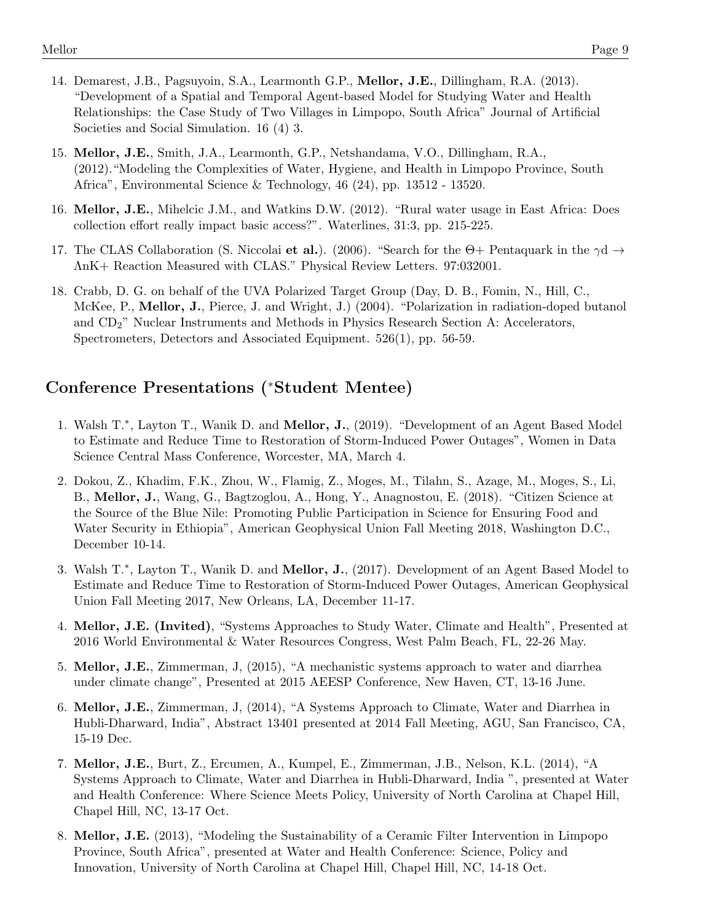- 14. Demarest, J.B., Pagsuyoin, S.A., Learmonth G.P., Mellor, J.E., Dillingham, R.A. (2013). "Development of a Spatial and Temporal Agent-based Model for Studying Water and Health Relationships: the Case Study of Two Villages in Limpopo, South Africa" Journal of Artificial Societies and Social Simulation. 16 (4) 3.
- 15. Mellor, J.E., Smith, J.A., Learmonth, G.P., Netshandama, V.O., Dillingham, R.A., (2012)."Modeling the Complexities of Water, Hygiene, and Health in Limpopo Province, South Africa", Environmental Science & Technology, 46 (24), pp. 13512 - 13520.
- 16. Mellor, J.E., Mihelcic J.M., and Watkins D.W. (2012). "Rural water usage in East Africa: Does collection effort really impact basic access?". Waterlines, 31:3, pp. 215-225.
- 17. The CLAS Collaboration (S. Niccolai et al.). (2006). "Search for the  $\Theta$ + Pentaquark in the  $\gamma$ d  $\rightarrow$ ΛnK+ Reaction Measured with CLAS." Physical Review Letters. 97:032001.
- 18. Crabb, D. G. on behalf of the UVA Polarized Target Group (Day, D. B., Fomin, N., Hill, C., McKee, P., Mellor, J., Pierce, J. and Wright, J.) (2004). "Polarization in radiation-doped butanol and CD2" Nuclear Instruments and Methods in Physics Research Section A: Accelerators, Spectrometers, Detectors and Associated Equipment. 526(1), pp. 56-59.

#### Conference Presentations (<sup>∗</sup>Student Mentee)

- 1. Walsh T.<sup>\*</sup>, Layton T., Wanik D. and Mellor, J., (2019). "Development of an Agent Based Model to Estimate and Reduce Time to Restoration of Storm-Induced Power Outages", Women in Data Science Central Mass Conference, Worcester, MA, March 4.
- 2. Dokou, Z., Khadim, F.K., Zhou, W., Flamig, Z., Moges, M., Tilahn, S., Azage, M., Moges, S., Li, B., Mellor, J., Wang, G., Bagtzoglou, A., Hong, Y., Anagnostou, E. (2018). "Citizen Science at the Source of the Blue Nile: Promoting Public Participation in Science for Ensuring Food and Water Security in Ethiopia", American Geophysical Union Fall Meeting 2018, Washington D.C., December 10-14.
- 3. Walsh T.<sup>\*</sup>, Layton T., Wanik D. and Mellor, J., (2017). Development of an Agent Based Model to Estimate and Reduce Time to Restoration of Storm-Induced Power Outages, American Geophysical Union Fall Meeting 2017, New Orleans, LA, December 11-17.
- 4. Mellor, J.E. (Invited), "Systems Approaches to Study Water, Climate and Health", Presented at 2016 World Environmental & Water Resources Congress, West Palm Beach, FL, 22-26 May.
- 5. Mellor, J.E., Zimmerman, J, (2015), "A mechanistic systems approach to water and diarrhea under climate change", Presented at 2015 AEESP Conference, New Haven, CT, 13-16 June.
- 6. Mellor, J.E., Zimmerman, J, (2014), "A Systems Approach to Climate, Water and Diarrhea in Hubli-Dharward, India", Abstract 13401 presented at 2014 Fall Meeting, AGU, San Francisco, CA, 15-19 Dec.
- 7. Mellor, J.E., Burt, Z., Ercumen, A., Kumpel, E., Zimmerman, J.B., Nelson, K.L. (2014), "A Systems Approach to Climate, Water and Diarrhea in Hubli-Dharward, India ", presented at Water and Health Conference: Where Science Meets Policy, University of North Carolina at Chapel Hill, Chapel Hill, NC, 13-17 Oct.
- 8. Mellor, J.E. (2013), "Modeling the Sustainability of a Ceramic Filter Intervention in Limpopo Province, South Africa", presented at Water and Health Conference: Science, Policy and Innovation, University of North Carolina at Chapel Hill, Chapel Hill, NC, 14-18 Oct.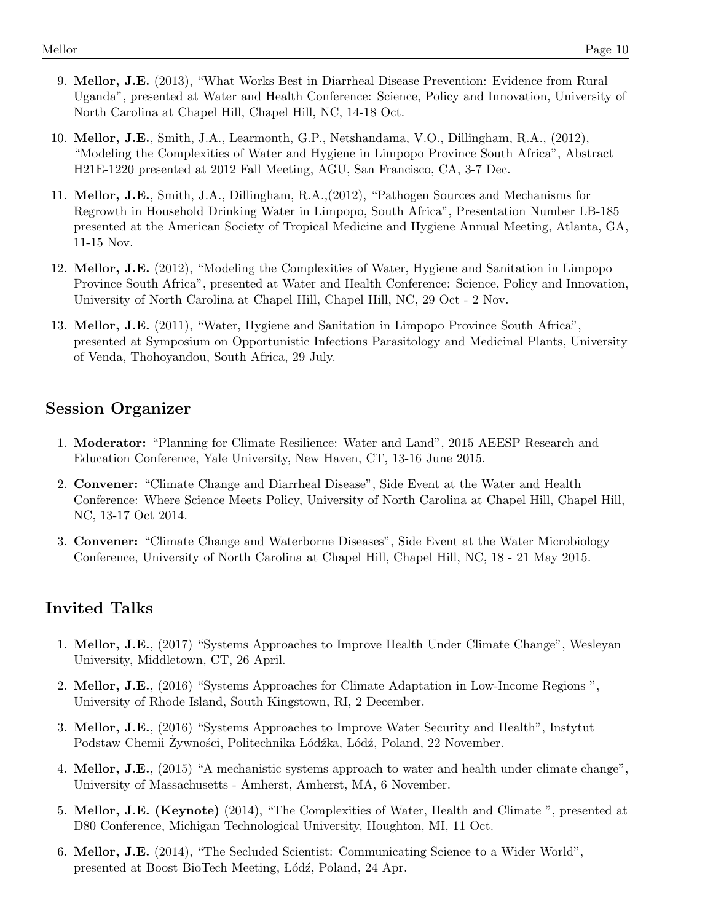- 9. Mellor, J.E. (2013), "What Works Best in Diarrheal Disease Prevention: Evidence from Rural Uganda", presented at Water and Health Conference: Science, Policy and Innovation, University of North Carolina at Chapel Hill, Chapel Hill, NC, 14-18 Oct.
- 10. Mellor, J.E., Smith, J.A., Learmonth, G.P., Netshandama, V.O., Dillingham, R.A., (2012), "Modeling the Complexities of Water and Hygiene in Limpopo Province South Africa", Abstract H21E-1220 presented at 2012 Fall Meeting, AGU, San Francisco, CA, 3-7 Dec.
- 11. Mellor, J.E., Smith, J.A., Dillingham, R.A.,(2012), "Pathogen Sources and Mechanisms for Regrowth in Household Drinking Water in Limpopo, South Africa", Presentation Number LB-185 presented at the American Society of Tropical Medicine and Hygiene Annual Meeting, Atlanta, GA, 11-15 Nov.
- 12. Mellor, J.E. (2012), "Modeling the Complexities of Water, Hygiene and Sanitation in Limpopo Province South Africa", presented at Water and Health Conference: Science, Policy and Innovation, University of North Carolina at Chapel Hill, Chapel Hill, NC, 29 Oct - 2 Nov.
- 13. Mellor, J.E. (2011), "Water, Hygiene and Sanitation in Limpopo Province South Africa", presented at Symposium on Opportunistic Infections Parasitology and Medicinal Plants, University of Venda, Thohoyandou, South Africa, 29 July.

## Session Organizer

- 1. Moderator: "Planning for Climate Resilience: Water and Land", 2015 AEESP Research and Education Conference, Yale University, New Haven, CT, 13-16 June 2015.
- 2. Convener: "Climate Change and Diarrheal Disease", Side Event at the Water and Health Conference: Where Science Meets Policy, University of North Carolina at Chapel Hill, Chapel Hill, NC, 13-17 Oct 2014.
- 3. Convener: "Climate Change and Waterborne Diseases", Side Event at the Water Microbiology Conference, University of North Carolina at Chapel Hill, Chapel Hill, NC, 18 - 21 May 2015.

## Invited Talks

- 1. Mellor, J.E., (2017) "Systems Approaches to Improve Health Under Climate Change", Wesleyan University, Middletown, CT, 26 April.
- 2. Mellor, J.E., (2016) "Systems Approaches for Climate Adaptation in Low-Income Regions ", University of Rhode Island, South Kingstown, RI, 2 December.
- 3. Mellor, J.E., (2016) "Systems Approaches to Improve Water Security and Health", Instytut Podstaw Chemii Żywności, Politechnika Łódźka, Łódź, Poland, 22 November.
- 4. Mellor, J.E., (2015) "A mechanistic systems approach to water and health under climate change", University of Massachusetts - Amherst, Amherst, MA, 6 November.
- 5. Mellor, J.E. (Keynote) (2014), "The Complexities of Water, Health and Climate ", presented at D80 Conference, Michigan Technological University, Houghton, MI, 11 Oct.
- 6. Mellor, J.E. (2014), "The Secluded Scientist: Communicating Science to a Wider World", presented at Boost BioTech Meeting, Lódź, Poland, 24 Apr.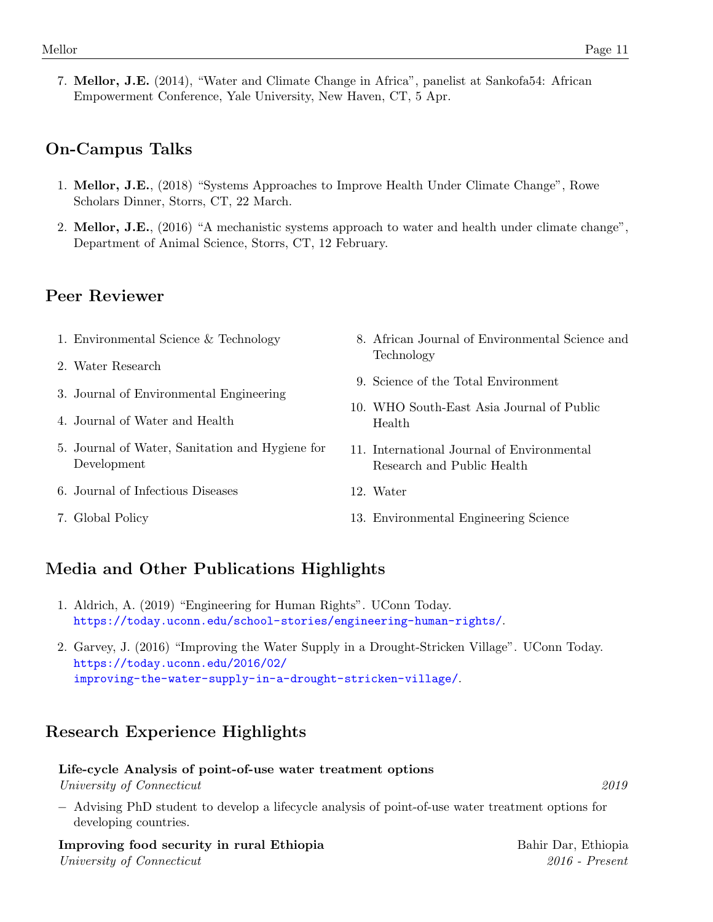7. Mellor, J.E. (2014), "Water and Climate Change in Africa", panelist at Sankofa54: African Empowerment Conference, Yale University, New Haven, CT, 5 Apr.

# On-Campus Talks

- 1. Mellor, J.E., (2018) "Systems Approaches to Improve Health Under Climate Change", Rowe Scholars Dinner, Storrs, CT, 22 March.
- 2. Mellor, J.E., (2016) "A mechanistic systems approach to water and health under climate change", Department of Animal Science, Storrs, CT, 12 February.

# Peer Reviewer

- 1. Environmental Science & Technology
- 2. Water Research
- 3. Journal of Environmental Engineering
- 4. Journal of Water and Health
- 5. Journal of Water, Sanitation and Hygiene for Development
- 6. Journal of Infectious Diseases
- 7. Global Policy
- 8. African Journal of Environmental Science and Technology
- 9. Science of the Total Environment
- 10. WHO South-East Asia Journal of Public Health
- 11. International Journal of Environmental Research and Public Health
- 12. Water
- 13. Environmental Engineering Science

# Media and Other Publications Highlights

- 1. Aldrich, A. (2019) "Engineering for Human Rights". UConn Today. <https://today.uconn.edu/school-stories/engineering-human-rights/>.
- 2. Garvey, J. (2016) "Improving the Water Supply in a Drought-Stricken Village". UConn Today. [https://today.uconn.edu/2016/02/](https://today.uconn.edu/2016/02/improving-the-water-supply-in-a-drought-stricken-village/) [improving-the-water-supply-in-a-drought-stricken-village/](https://today.uconn.edu/2016/02/improving-the-water-supply-in-a-drought-stricken-village/).

# Research Experience Highlights

#### Life-cycle Analysis of point-of-use water treatment options

University of Connecticut 2019

- 
- − Advising PhD student to develop a lifecycle analysis of point-of-use water treatment options for developing countries.

Improving food security in rural Ethiopia Bahir Dar, Ethiopia Bahir Dar, Ethiopia University of Connecticut 2016 - Present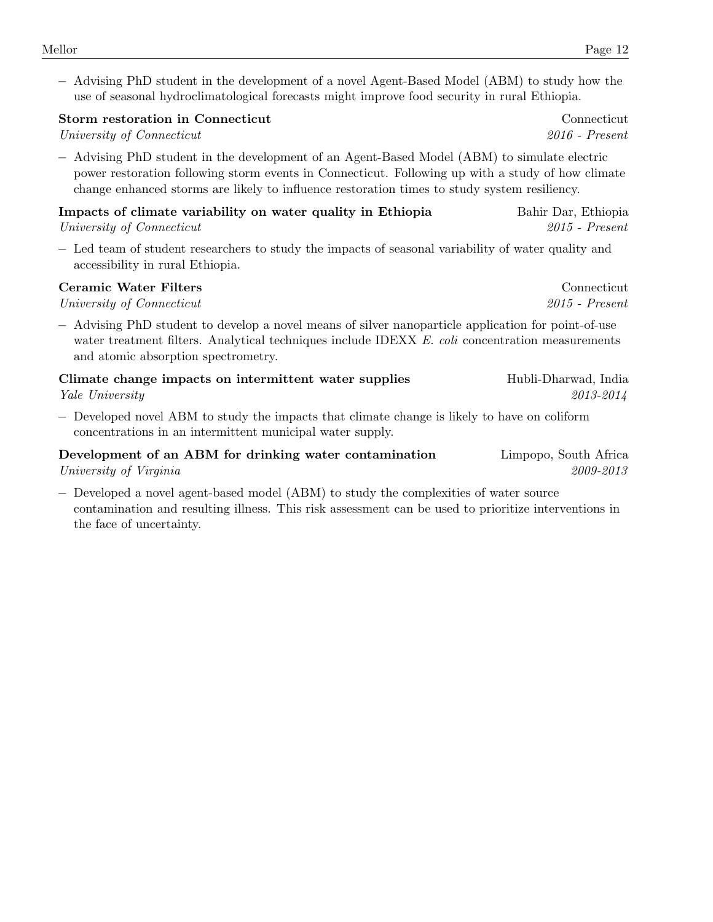− Advising PhD student in the development of a novel Agent-Based Model (ABM) to study how the use of seasonal hydroclimatological forecasts might improve food security in rural Ethiopia.

|  | Storm restoration in Connecticut | Connecticut |
|--|----------------------------------|-------------|
|  |                                  |             |

University of Connecticut 2016 - Present

− Advising PhD student in the development of an Agent-Based Model (ABM) to simulate electric power restoration following storm events in Connecticut. Following up with a study of how climate change enhanced storms are likely to influence restoration times to study system resiliency.

| Impacts of climate variability on water quality in Ethiopia | Bahir Dar, Ethiopia |
|-------------------------------------------------------------|---------------------|
| University of Connecticut                                   | $2015$ - Present    |

− Led team of student researchers to study the impacts of seasonal variability of water quality and accessibility in rural Ethiopia.

#### Ceramic Water Filters Connecticut

University of Connecticut 2015 - Present

− Advising PhD student to develop a novel means of silver nanoparticle application for point-of-use water treatment filters. Analytical techniques include IDEXX E. coli concentration measurements and atomic absorption spectrometry.

| Climate change impacts on intermittent water supplies | Hubli-Dharwad, India |
|-------------------------------------------------------|----------------------|
| <i>Yale University</i>                                | 2013-2014            |

− Developed novel ABM to study the impacts that climate change is likely to have on coliform concentrations in an intermittent municipal water supply.

| Development of an ABM for drinking water contamination | Limpopo, South Africa |
|--------------------------------------------------------|-----------------------|
| University of Virginia                                 | 2009-2013             |

− Developed a novel agent-based model (ABM) to study the complexities of water source contamination and resulting illness. This risk assessment can be used to prioritize interventions in the face of uncertainty.